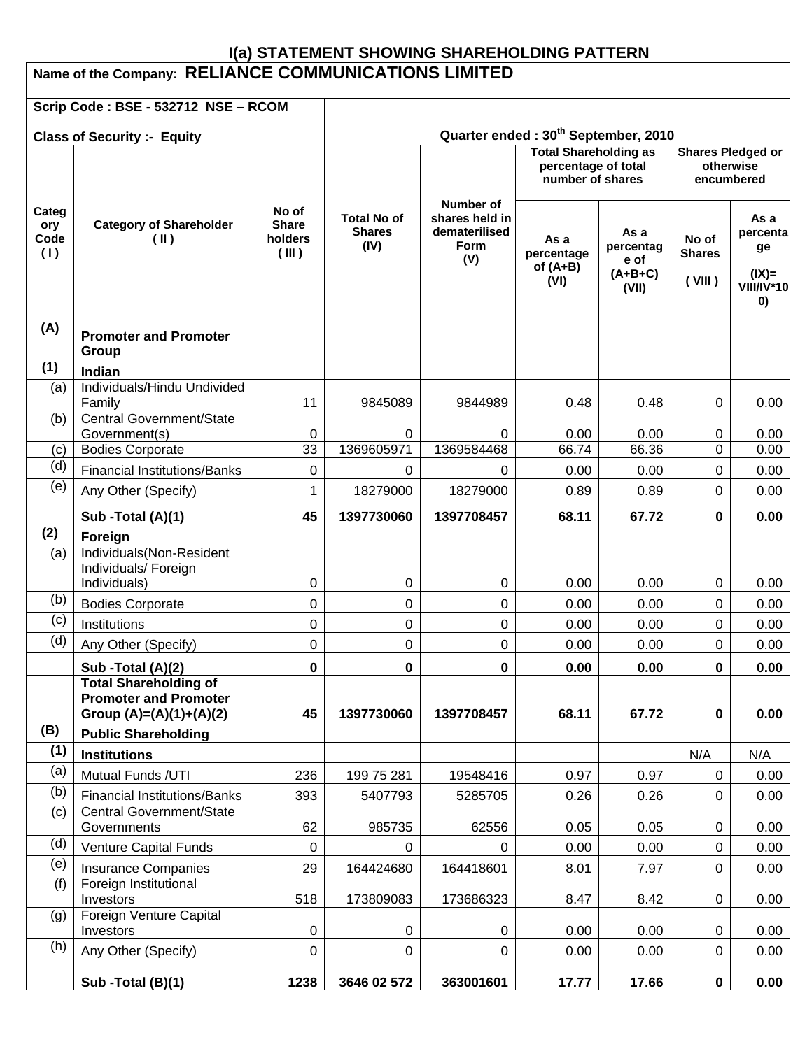# **I(a) STATEMENT SHOWING SHAREHOLDING PATTERN Name of the Company: RELIANCE COMMUNICATIONS LIMITED**

|                             | Scrip Code: BSE - 532712 NSE - RCOM                              |                                           |                                                 |                                                                    |                                                                         |                                                 |                                                     |                                                               |  |
|-----------------------------|------------------------------------------------------------------|-------------------------------------------|-------------------------------------------------|--------------------------------------------------------------------|-------------------------------------------------------------------------|-------------------------------------------------|-----------------------------------------------------|---------------------------------------------------------------|--|
|                             | <b>Class of Security :- Equity</b>                               |                                           | Quarter ended: 30 <sup>th</sup> September, 2010 |                                                                    |                                                                         |                                                 |                                                     |                                                               |  |
|                             |                                                                  |                                           |                                                 |                                                                    | <b>Total Shareholding as</b><br>percentage of total<br>number of shares |                                                 | <b>Shares Pledged or</b><br>otherwise<br>encumbered |                                                               |  |
| Categ<br>ory<br>Code<br>(1) | <b>Category of Shareholder</b><br>$(\parallel)$                  | No of<br><b>Share</b><br>holders<br>(III) | <b>Total No of</b><br><b>Shares</b><br>(IV)     | Number of<br>shares held in<br>dematerilised<br><b>Form</b><br>(V) | As a<br>percentage<br>of $(A+B)$<br>(VI)                                | As a<br>percentag<br>e of<br>$(A+B+C)$<br>(VII) | No of<br><b>Shares</b><br>(VIII)                    | As a<br>percenta<br>ge<br>$I(X) =$<br><b>VIII/IV*10</b><br>0) |  |
| (A)                         | <b>Promoter and Promoter</b><br>Group                            |                                           |                                                 |                                                                    |                                                                         |                                                 |                                                     |                                                               |  |
| (1)                         | Indian                                                           |                                           |                                                 |                                                                    |                                                                         |                                                 |                                                     |                                                               |  |
| (a)                         | Individuals/Hindu Undivided<br>Family                            | 11                                        | 9845089                                         | 9844989                                                            | 0.48                                                                    | 0.48                                            | 0                                                   | 0.00                                                          |  |
| (b)                         | Central Government/State<br>Government(s)                        | 0                                         | 0                                               | 0                                                                  | 0.00                                                                    | 0.00                                            | 0                                                   | 0.00                                                          |  |
| (c)                         | <b>Bodies Corporate</b>                                          | $\overline{33}$                           | 1369605971                                      | 1369584468                                                         | 66.74                                                                   | 66.36                                           | 0                                                   | 0.00                                                          |  |
| (d)                         | <b>Financial Institutions/Banks</b>                              | 0                                         | 0                                               | 0                                                                  | 0.00                                                                    | 0.00                                            | 0                                                   | 0.00                                                          |  |
| (e)                         | Any Other (Specify)                                              | 1                                         | 18279000                                        | 18279000                                                           | 0.89                                                                    | 0.89                                            | 0                                                   | 0.00                                                          |  |
|                             | Sub -Total (A)(1)                                                | 45                                        | 1397730060                                      | 1397708457                                                         | 68.11                                                                   | 67.72                                           | 0                                                   | 0.00                                                          |  |
| (2)                         | Foreign                                                          |                                           |                                                 |                                                                    |                                                                         |                                                 |                                                     |                                                               |  |
| (a)                         | Individuals(Non-Resident<br>Individuals/ Foreign<br>Individuals) |                                           |                                                 |                                                                    |                                                                         |                                                 |                                                     |                                                               |  |
| (b)                         | <b>Bodies Corporate</b>                                          | 0<br>0                                    | 0<br>0                                          | 0<br>$\mathbf 0$                                                   | 0.00<br>0.00                                                            | 0.00<br>0.00                                    | 0<br>$\mathbf 0$                                    | 0.00<br>0.00                                                  |  |
| (c)                         | Institutions                                                     | 0                                         | 0                                               | 0                                                                  | 0.00                                                                    | 0.00                                            | $\mathbf 0$                                         | 0.00                                                          |  |
| (d)                         | Any Other (Specify)                                              | 0                                         | 0                                               | 0                                                                  | 0.00                                                                    | 0.00                                            | 0                                                   | 0.00                                                          |  |
|                             | Sub -Total (A)(2)                                                | 0                                         | 0                                               | 0                                                                  | 0.00                                                                    | 0.00                                            | $\mathbf 0$                                         | 0.00                                                          |  |
|                             | <b>Total Shareholding of</b>                                     |                                           |                                                 |                                                                    |                                                                         |                                                 |                                                     |                                                               |  |
|                             | <b>Promoter and Promoter</b><br>Group $(A)=(A)(1)+(A)(2)$        | 45                                        | 1397730060                                      | 1397708457                                                         | 68.11                                                                   | 67.72                                           | $\mathbf 0$                                         | 0.00                                                          |  |
| (B)                         | <b>Public Shareholding</b>                                       |                                           |                                                 |                                                                    |                                                                         |                                                 |                                                     |                                                               |  |
| (1)                         | <b>Institutions</b>                                              |                                           |                                                 |                                                                    |                                                                         |                                                 | N/A                                                 | N/A                                                           |  |
| (a)                         | Mutual Funds /UTI                                                | 236                                       | 199 75 281                                      | 19548416                                                           | 0.97                                                                    | 0.97                                            | $\mathsf 0$                                         | 0.00                                                          |  |
| (b)                         | <b>Financial Institutions/Banks</b>                              | 393                                       | 5407793                                         | 5285705                                                            | 0.26                                                                    | 0.26                                            | $\mathbf 0$                                         | 0.00                                                          |  |
| (c)                         | Central Government/State                                         |                                           |                                                 |                                                                    |                                                                         |                                                 |                                                     |                                                               |  |
| (d)                         | Governments                                                      | 62                                        | 985735                                          | 62556                                                              | 0.05                                                                    | 0.05                                            | 0                                                   | 0.00                                                          |  |
| (e)                         | Venture Capital Funds                                            | 0                                         | 0                                               | 0                                                                  | 0.00                                                                    | 0.00                                            | $\mathbf 0$                                         | 0.00                                                          |  |
| (f)                         | <b>Insurance Companies</b><br>Foreign Institutional              | 29                                        | 164424680                                       | 164418601                                                          | 8.01                                                                    | 7.97                                            | $\mathbf 0$                                         | 0.00                                                          |  |
|                             | Investors                                                        | 518                                       | 173809083                                       | 173686323                                                          | 8.47                                                                    | 8.42                                            | 0                                                   | 0.00                                                          |  |
| (g)                         | Foreign Venture Capital<br>Investors                             | 0                                         | 0                                               | 0                                                                  | 0.00                                                                    | 0.00                                            | $\mathsf 0$                                         | 0.00                                                          |  |
| (h)                         | Any Other (Specify)                                              | 0                                         | 0                                               | $\mathsf 0$                                                        | 0.00                                                                    | 0.00                                            | $\mathbf 0$                                         | 0.00                                                          |  |
|                             | Sub -Total (B)(1)                                                | 1238                                      | 3646 02 572                                     | 363001601                                                          | 17.77                                                                   | 17.66                                           | $\mathbf 0$                                         | 0.00                                                          |  |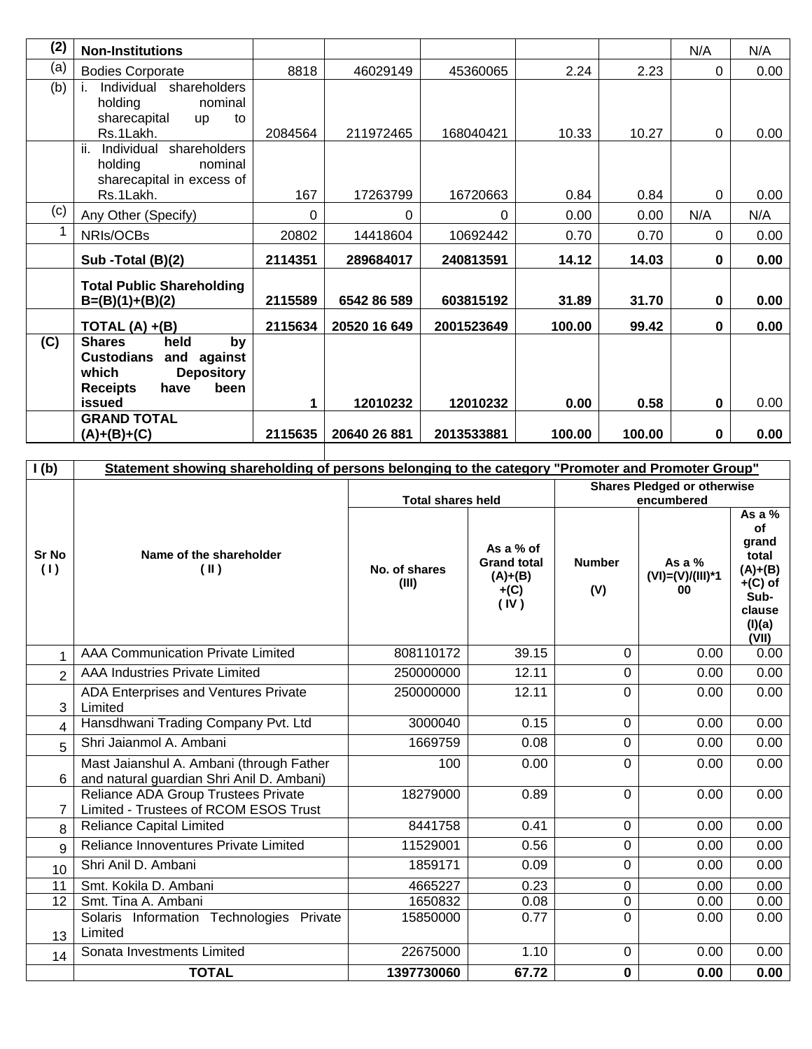| (2) | <b>Non-Institutions</b>                                                                                                             |             |              |            |        |        | N/A         | N/A  |
|-----|-------------------------------------------------------------------------------------------------------------------------------------|-------------|--------------|------------|--------|--------|-------------|------|
| (a) | <b>Bodies Corporate</b>                                                                                                             | 8818        | 46029149     | 45360065   | 2.24   | 2.23   | $\mathbf 0$ | 0.00 |
| (b) | Individual shareholders<br>holding<br>nominal<br>sharecapital<br>to<br><b>up</b><br>Rs.1Lakh.                                       | 2084564     | 211972465    | 168040421  | 10.33  | 10.27  | $\mathbf 0$ | 0.00 |
|     | ii.<br>Individual<br>shareholders<br>holding<br>nominal<br>sharecapital in excess of<br>Rs.1Lakh.                                   | 167         | 17263799     | 16720663   | 0.84   | 0.84   | $\mathbf 0$ | 0.00 |
| (c) | Any Other (Specify)                                                                                                                 | $\mathbf 0$ | 0            | 0          | 0.00   | 0.00   | N/A         | N/A  |
|     | NRIs/OCBs                                                                                                                           | 20802       | 14418604     | 10692442   | 0.70   | 0.70   | $\Omega$    | 0.00 |
|     | Sub -Total (B)(2)                                                                                                                   | 2114351     | 289684017    | 240813591  | 14.12  | 14.03  | $\bf{0}$    | 0.00 |
|     | <b>Total Public Shareholding</b><br>$B=(B)(1)+(B)(2)$                                                                               | 2115589     | 6542 86 589  | 603815192  | 31.89  | 31.70  | $\bf{0}$    | 0.00 |
|     | TOTAL $(A) + (B)$                                                                                                                   | 2115634     | 20520 16 649 | 2001523649 | 100.00 | 99.42  | $\bf{0}$    | 0.00 |
| (C) | held<br><b>Shares</b><br>by<br><b>Custodians</b><br>and<br>against<br><b>Depository</b><br>which<br>been<br><b>Receipts</b><br>have |             |              |            |        |        |             |      |
|     | issued                                                                                                                              | 1           | 12010232     | 12010232   | 0.00   | 0.58   | $\bf{0}$    | 0.00 |
|     | <b>GRAND TOTAL</b><br>$(A)+(B)+(C)$                                                                                                 | 2115635     | 20640 26 881 | 2013533881 | 100.00 | 100.00 | $\mathbf 0$ | 0.00 |

| I(b)                | Statement showing shareholding of persons belonging to the category "Promoter and Promoter Group" |                          |                                                                |                                                  |                                      |                                                                                                 |
|---------------------|---------------------------------------------------------------------------------------------------|--------------------------|----------------------------------------------------------------|--------------------------------------------------|--------------------------------------|-------------------------------------------------------------------------------------------------|
|                     |                                                                                                   | <b>Total shares held</b> |                                                                | <b>Shares Pledged or otherwise</b><br>encumbered |                                      |                                                                                                 |
| <b>Sr No</b><br>(1) | Name of the shareholder<br>$(\parallel)$                                                          | No. of shares<br>(III)   | As a % of<br><b>Grand total</b><br>$(A)+(B)$<br>$+(C)$<br>(IV) | <b>Number</b><br>(V)                             | As a $%$<br>$(VI)=(V)/(III)*1$<br>00 | As a $%$<br>of<br>grand<br>total<br>$(A)+(B)$<br>$+(C)$ of<br>Sub-<br>clause<br>(I)(a)<br>(VII) |
|                     | <b>AAA Communication Private Limited</b>                                                          | 808110172                | 39.15                                                          | 0                                                | 0.00                                 | 0.00                                                                                            |
| $\overline{2}$      | <b>AAA Industries Private Limited</b>                                                             | 250000000                | 12.11                                                          | 0                                                | 0.00                                 | 0.00                                                                                            |
| 3                   | ADA Enterprises and Ventures Private<br>Limited                                                   | 250000000                | 12.11                                                          | 0                                                | 0.00                                 | 0.00                                                                                            |
| 4                   | Hansdhwani Trading Company Pvt. Ltd                                                               | 3000040                  | 0.15                                                           | 0                                                | 0.00                                 | 0.00                                                                                            |
| 5                   | Shri Jaianmol A. Ambani                                                                           | 1669759                  | 0.08                                                           | $\Omega$                                         | 0.00                                 | 0.00                                                                                            |
| 6                   | Mast Jaianshul A. Ambani (through Father<br>and natural guardian Shri Anil D. Ambani)             | 100                      | 0.00                                                           | 0                                                | 0.00                                 | 0.00                                                                                            |
| 7                   | Reliance ADA Group Trustees Private<br>Limited - Trustees of RCOM ESOS Trust                      | 18279000                 | 0.89                                                           | 0                                                | 0.00                                 | 0.00                                                                                            |
| 8                   | <b>Reliance Capital Limited</b>                                                                   | 8441758                  | 0.41                                                           | 0                                                | 0.00                                 | 0.00                                                                                            |
| 9                   | Reliance Innoventures Private Limited                                                             | 11529001                 | 0.56                                                           | 0                                                | 0.00                                 | 0.00                                                                                            |
| 10                  | Shri Anil D. Ambani                                                                               | 1859171                  | 0.09                                                           | 0                                                | 0.00                                 | 0.00                                                                                            |
| 11                  | Smt. Kokila D. Ambani                                                                             | 4665227                  | 0.23                                                           | 0                                                | 0.00                                 | 0.00                                                                                            |
| 12                  | Smt. Tina A. Ambani                                                                               | 1650832                  | 0.08                                                           | 0                                                | 0.00                                 | 0.00                                                                                            |
| 13                  | Solaris Information Technologies Private<br>Limited                                               | 15850000                 | 0.77                                                           | 0                                                | 0.00                                 | 0.00                                                                                            |
| 14                  | Sonata Investments Limited                                                                        | 22675000                 | 1.10                                                           | 0                                                | 0.00                                 | 0.00                                                                                            |
|                     | <b>TOTAL</b>                                                                                      | 1397730060               | 67.72                                                          | $\mathbf 0$                                      | 0.00                                 | 0.00                                                                                            |